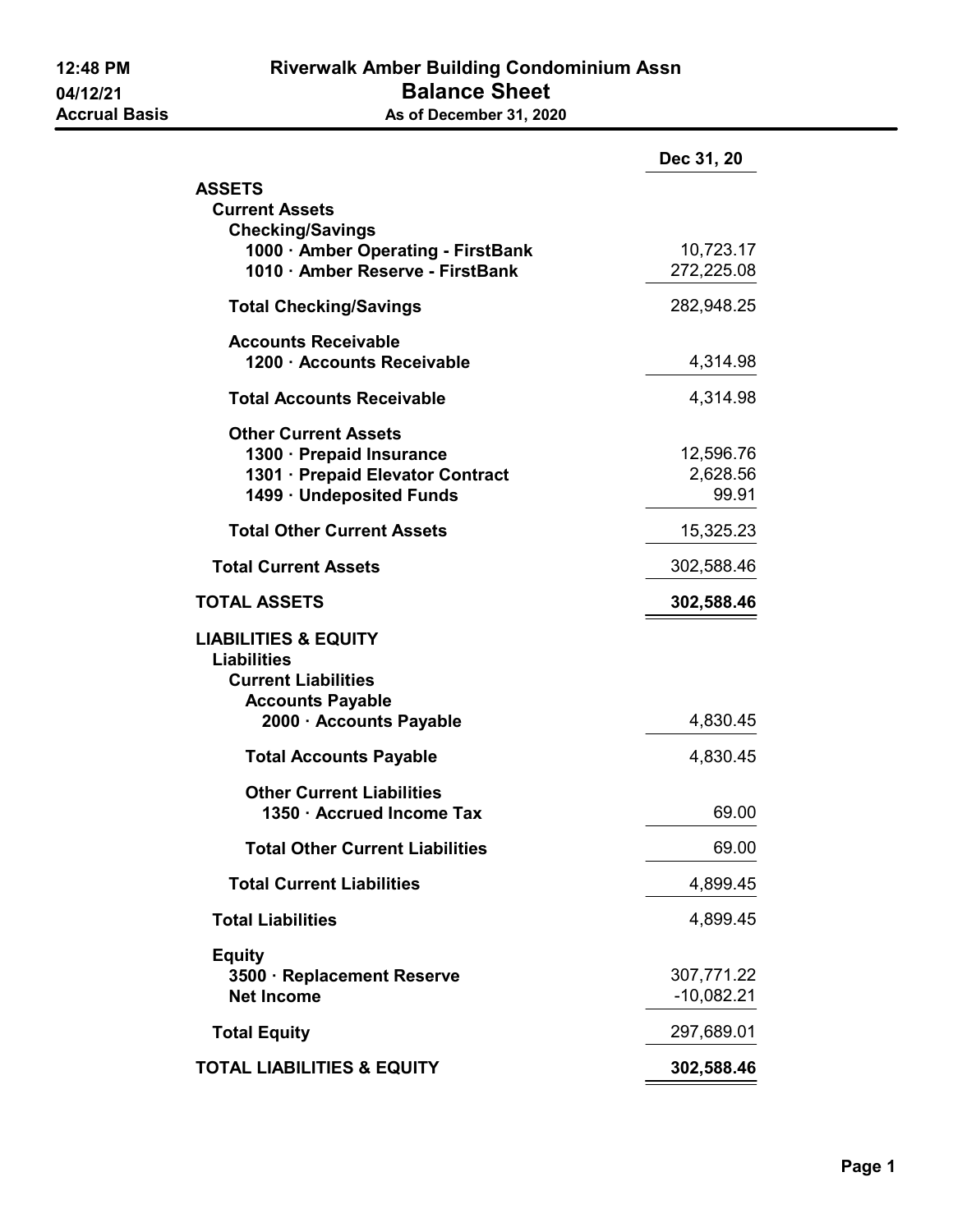|                                                                                                                                           | Dec 31, 20                     |
|-------------------------------------------------------------------------------------------------------------------------------------------|--------------------------------|
| <b>ASSETS</b><br><b>Current Assets</b>                                                                                                    |                                |
| <b>Checking/Savings</b><br>1000 · Amber Operating - FirstBank<br>1010 · Amber Reserve - FirstBank                                         | 10,723.17<br>272,225.08        |
| <b>Total Checking/Savings</b>                                                                                                             | 282,948.25                     |
| <b>Accounts Receivable</b><br>1200 · Accounts Receivable                                                                                  | 4,314.98                       |
| <b>Total Accounts Receivable</b>                                                                                                          | 4,314.98                       |
| <b>Other Current Assets</b><br>1300 · Prepaid Insurance<br>1301 · Prepaid Elevator Contract<br>1499 · Undeposited Funds                   | 12,596.76<br>2,628.56<br>99.91 |
| <b>Total Other Current Assets</b>                                                                                                         | 15,325.23                      |
| <b>Total Current Assets</b>                                                                                                               | 302,588.46                     |
| <b>TOTAL ASSETS</b>                                                                                                                       | 302,588.46                     |
| <b>LIABILITIES &amp; EQUITY</b><br><b>Liabilities</b><br><b>Current Liabilities</b><br><b>Accounts Payable</b><br>2000 · Accounts Payable | 4,830.45                       |
| <b>Total Accounts Payable</b>                                                                                                             | 4,830.45                       |
| <b>Other Current Liabilities</b><br>1350 · Accrued Income Tax                                                                             | 69.00                          |
| <b>Total Other Current Liabilities</b>                                                                                                    | 69.00                          |
| <b>Total Current Liabilities</b>                                                                                                          | 4,899.45                       |
| <b>Total Liabilities</b>                                                                                                                  | 4,899.45                       |
| <b>Equity</b><br>3500 · Replacement Reserve<br><b>Net Income</b>                                                                          | 307,771.22<br>$-10,082.21$     |
| <b>Total Equity</b>                                                                                                                       | 297,689.01                     |
| <b>TOTAL LIABILITIES &amp; EQUITY</b>                                                                                                     | 302,588.46                     |
|                                                                                                                                           |                                |